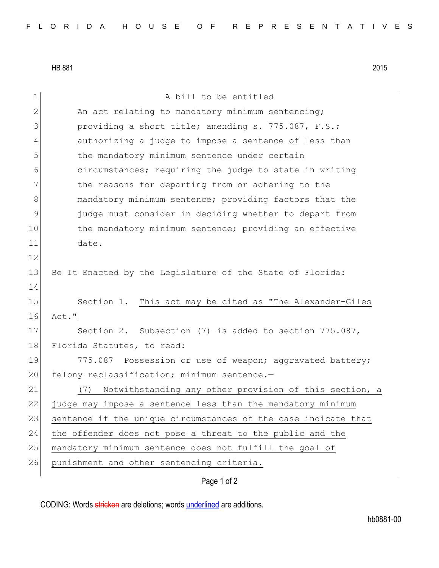HB 881 2015

Page 1 of 2 1 a bill to be entitled  $2$  An act relating to mandatory minimum sentencing;  $3$  providing a short title; amending s. 775.087, F.S.; 4 authorizing a judge to impose a sentence of less than 5 the mandatory minimum sentence under certain 6 circumstances; requiring the judge to state in writing 7 The reasons for departing from or adhering to the 8 mandatory minimum sentence; providing factors that the 9 judge must consider in deciding whether to depart from 10 the mandatory minimum sentence; providing an effective 11 date. 12 13 Be It Enacted by the Legislature of the State of Florida: 14 15 Section 1. This act may be cited as "The Alexander-Giles 16 Act." 17 Section 2. Subsection (7) is added to section 775.087, 18 Florida Statutes, to read: 19 775.087 Possession or use of weapon; aggravated battery; 20 felony reclassification; minimum sentence.-21 (7) Notwithstanding any other provision of this section, a 22 judge may impose a sentence less than the mandatory minimum 23 sentence if the unique circumstances of the case indicate that 24 the offender does not pose a threat to the public and the 25 mandatory minimum sentence does not fulfill the goal of 26 punishment and other sentencing criteria.

CODING: Words stricken are deletions; words underlined are additions.